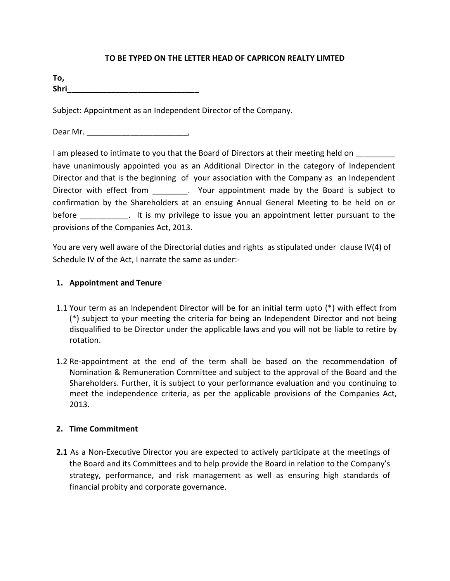## **TO BE TYPED ON THE LETTER HEAD OF CAPRICON REALTY LIMTED**

| To,  |  |  |  |
|------|--|--|--|
| Shri |  |  |  |

Subject: Appointment as an Independent Director of the Company.

Dear Mr. \_\_\_\_\_\_\_\_\_\_\_\_\_\_\_\_\_\_\_\_\_\_\_,

I am pleased to intimate to you that the Board of Directors at their meeting held on have unanimously appointed you as an Additional Director in the category of Independent Director and that is the beginning of your association with the Company as an Independent Director with effect from \_\_\_\_\_\_\_\_\_. Your appointment made by the Board is subject to confirmation by the Shareholders at an ensuing Annual General Meeting to be held on or before \_\_\_\_\_\_\_\_\_\_\_. It is my privilege to issue you an appointment letter pursuant to the provisions of the Companies Act, 2013.

You are very well aware of the Directorial duties and rights as stipulated under clause IV(4) of Schedule IV of the Act, I narrate the same as under:-

## **1. Appointment and Tenure**

- 1.1 Your term as an Independent Director will be for an initial term upto (\*) with effect from (\*) subject to your meeting the criteria for being an Independent Director and not being disqualified to be Director under the applicable laws and you will not be liable to retire by rotation.
- 1.2 Re-appointment at the end of the term shall be based on the recommendation of Nomination & Remuneration Committee and subject to the approval of the Board and the Shareholders. Further, it is subject to your performance evaluation and you continuing to meet the independence criteria, as per the applicable provisions of the Companies Act, 2013.

#### **2. Time Commitment**

**2.1** As a Non-Executive Director you are expected to actively participate at the meetings of the Board and its Committees and to help provide the Board in relation to the Company's strategy, performance, and risk management as well as ensuring high standards of financial probity and corporate governance.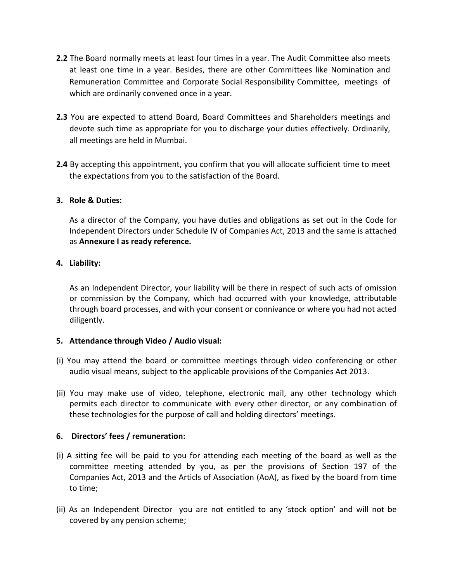- **2.2** The Board normally meets at least four times in a year. The Audit Committee also meets at least one time in a year. Besides, there are other Committees like Nomination and Remuneration Committee and Corporate Social Responsibility Committee, meetings of which are ordinarily convened once in a year.
- **2.3** You are expected to attend Board, Board Committees and Shareholders meetings and devote such time as appropriate for you to discharge your duties effectively. Ordinarily, all meetings are held in Mumbai.
- **2.4** By accepting this appointment, you confirm that you will allocate sufficient time to meet the expectations from you to the satisfaction of the Board.

## **3. Role & Duties:**

As a director of the Company, you have duties and obligations as set out in the Code for Independent Directors under Schedule IV of Companies Act, 2013 and the same is attached as **Annexure I as ready reference.** 

## **4. Liability:**

As an Independent Director, your liability will be there in respect of such acts of omission or commission by the Company, which had occurred with your knowledge, attributable through board processes, and with your consent or connivance or where you had not acted diligently.

#### **5. Attendance through Video / Audio visual:**

- (i) You may attend the board or committee meetings through video conferencing or other audio visual means, subject to the applicable provisions of the Companies Act 2013.
- (ii) You may make use of video, telephone, electronic mail, any other technology which permits each director to communicate with every other director, or any combination of these technologies for the purpose of call and holding directors' meetings.

#### **6. Directors' fees / remuneration:**

- (i) A sitting fee will be paid to you for attending each meeting of the board as well as the committee meeting attended by you, as per the provisions of Section 197 of the Companies Act, 2013 and the Articls of Association (AoA), as fixed by the board from time to time;
- (ii) As an Independent Director you are not entitled to any 'stock option' and will not be covered by any pension scheme;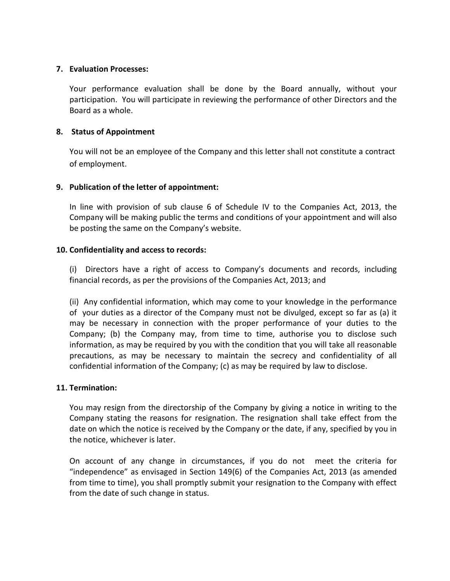### **7. Evaluation Processes:**

Your performance evaluation shall be done by the Board annually, without your participation. You will participate in reviewing the performance of other Directors and the Board as a whole.

# **8. Status of Appointment**

You will not be an employee of the Company and this letter shall not constitute a contract of employment.

# **9. Publication of the letter of appointment:**

In line with provision of sub clause 6 of Schedule IV to the Companies Act, 2013, the Company will be making public the terms and conditions of your appointment and will also be posting the same on the Company's website.

# **10. Confidentiality and access to records:**

(i) Directors have a right of access to Company's documents and records, including financial records, as per the provisions of the Companies Act, 2013; and

(ii) Any confidential information, which may come to your knowledge in the performance of your duties as a director of the Company must not be divulged, except so far as (a) it may be necessary in connection with the proper performance of your duties to the Company; (b) the Company may, from time to time, authorise you to disclose such information, as may be required by you with the condition that you will take all reasonable precautions, as may be necessary to maintain the secrecy and confidentiality of all confidential information of the Company; (c) as may be required by law to disclose.

# **11. Termination:**

You may resign from the directorship of the Company by giving a notice in writing to the Company stating the reasons for resignation. The resignation shall take effect from the date on which the notice is received by the Company or the date, if any, specified by you in the notice, whichever is later.

On account of any change in circumstances, if you do not meet the criteria for "independence" as envisaged in Section 149(6) of the Companies Act, 2013 (as amended from time to time), you shall promptly submit your resignation to the Company with effect from the date of such change in status.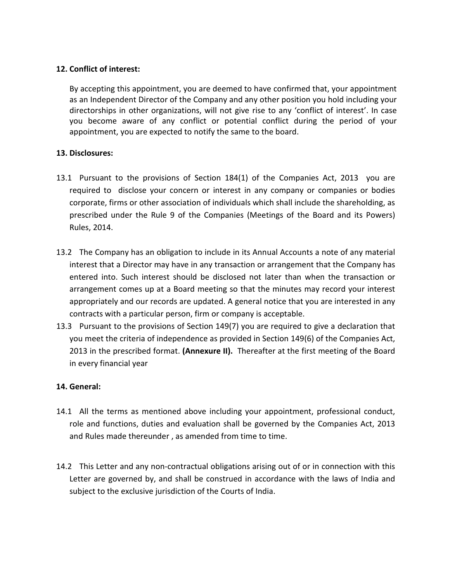## **12. Conflict of interest:**

By accepting this appointment, you are deemed to have confirmed that, your appointment as an Independent Director of the Company and any other position you hold including your directorships in other organizations, will not give rise to any 'conflict of interest'. In case you become aware of any conflict or potential conflict during the period of your appointment, you are expected to notify the same to the board.

# **13. Disclosures:**

- 13.1 Pursuant to the provisions of Section 184(1) of the Companies Act, 2013 you are required to disclose your concern or interest in any company or companies or bodies corporate, firms or other association of individuals which shall include the shareholding, as prescribed under the Rule 9 of the Companies (Meetings of the Board and its Powers) Rules, 2014.
- 13.2 The Company has an obligation to include in its Annual Accounts a note of any material interest that a Director may have in any transaction or arrangement that the Company has entered into. Such interest should be disclosed not later than when the transaction or arrangement comes up at a Board meeting so that the minutes may record your interest appropriately and our records are updated. A general notice that you are interested in any contracts with a particular person, firm or company is acceptable.
- 13.3 Pursuant to the provisions of Section 149(7) you are required to give a declaration that you meet the criteria of independence as provided in Section 149(6) of the Companies Act, 2013 in the prescribed format. **(Annexure II).** Thereafter at the first meeting of the Board in every financial year

# **14. General:**

- 14.1 All the terms as mentioned above including your appointment, professional conduct, role and functions, duties and evaluation shall be governed by the Companies Act, 2013 and Rules made thereunder , as amended from time to time.
- 14.2 This Letter and any non-contractual obligations arising out of or in connection with this Letter are governed by, and shall be construed in accordance with the laws of India and subject to the exclusive jurisdiction of the Courts of India.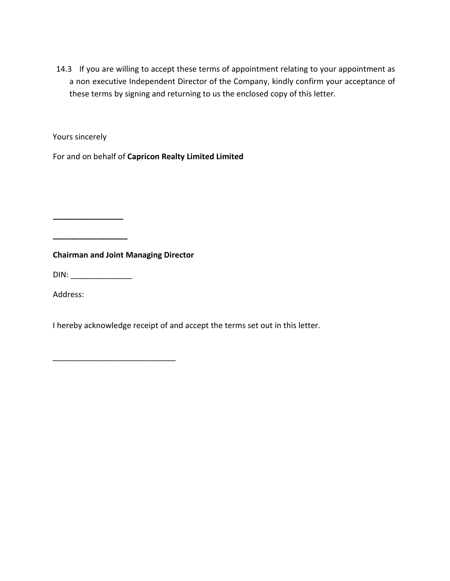14.3 If you are willing to accept these terms of appointment relating to your appointment as a non executive Independent Director of the Company, kindly confirm your acceptance of these terms by signing and returning to us the enclosed copy of this letter.

Yours sincerely

 **\_\_\_\_\_\_\_\_\_\_\_\_\_\_\_\_** 

For and on behalf of **Capricon Realty Limited Limited** 

**Chairman and Joint Managing Director** 

 $\overline{\phantom{a}}$  , where  $\overline{\phantom{a}}$  , where  $\overline{\phantom{a}}$  , where  $\overline{\phantom{a}}$  , where  $\overline{\phantom{a}}$ 

DIN: \_\_\_\_\_\_\_\_\_\_\_\_\_\_

**\_\_\_\_\_\_\_\_\_\_\_\_\_\_\_\_\_** 

Address:

I hereby acknowledge receipt of and accept the terms set out in this letter.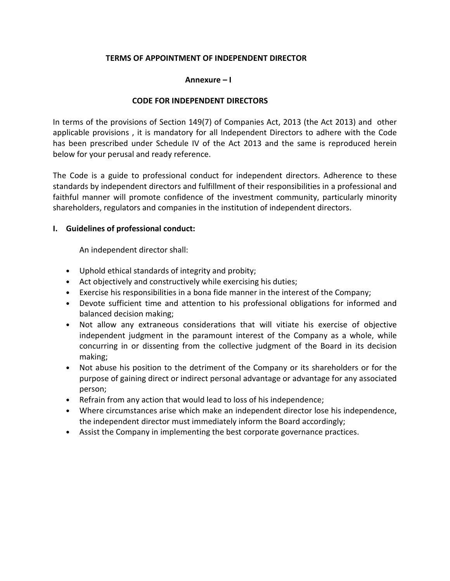## **TERMS OF APPOINTMENT OF INDEPENDENT DIRECTOR**

#### **Annexure – I**

#### **CODE FOR INDEPENDENT DIRECTORS**

In terms of the provisions of Section 149(7) of Companies Act, 2013 (the Act 2013) and other applicable provisions , it is mandatory for all Independent Directors to adhere with the Code has been prescribed under Schedule IV of the Act 2013 and the same is reproduced herein below for your perusal and ready reference.

The Code is a guide to professional conduct for independent directors. Adherence to these standards by independent directors and fulfillment of their responsibilities in a professional and faithful manner will promote confidence of the investment community, particularly minority shareholders, regulators and companies in the institution of independent directors.

## **I. Guidelines of professional conduct:**

An independent director shall:

- Uphold ethical standards of integrity and probity;
- Act objectively and constructively while exercising his duties;
- Exercise his responsibilities in a bona fide manner in the interest of the Company;
- Devote sufficient time and attention to his professional obligations for informed and balanced decision making;
- Not allow any extraneous considerations that will vitiate his exercise of objective independent judgment in the paramount interest of the Company as a whole, while concurring in or dissenting from the collective judgment of the Board in its decision making;
- Not abuse his position to the detriment of the Company or its shareholders or for the purpose of gaining direct or indirect personal advantage or advantage for any associated person;
- Refrain from any action that would lead to loss of his independence;
- Where circumstances arise which make an independent director lose his independence, the independent director must immediately inform the Board accordingly;
- Assist the Company in implementing the best corporate governance practices.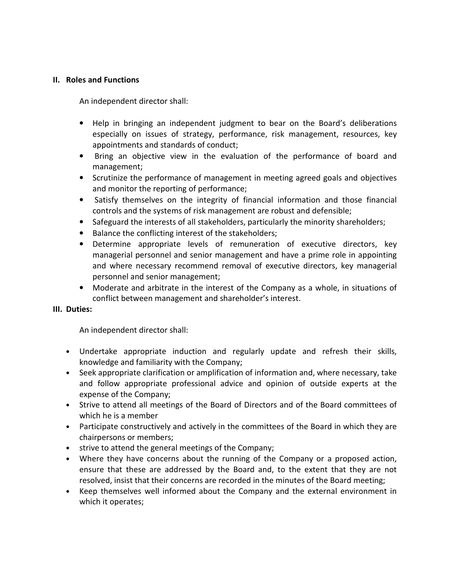#### **II. Roles and Functions**

An independent director shall:

- Help in bringing an independent judgment to bear on the Board's deliberations especially on issues of strategy, performance, risk management, resources, key appointments and standards of conduct;
- Bring an objective view in the evaluation of the performance of board and management;
- Scrutinize the performance of management in meeting agreed goals and objectives and monitor the reporting of performance;
- Satisfy themselves on the integrity of financial information and those financial controls and the systems of risk management are robust and defensible;
- Safeguard the interests of all stakeholders, particularly the minority shareholders;
- Balance the conflicting interest of the stakeholders;
- Determine appropriate levels of remuneration of executive directors, key managerial personnel and senior management and have a prime role in appointing and where necessary recommend removal of executive directors, key managerial personnel and senior management;
- Moderate and arbitrate in the interest of the Company as a whole, in situations of conflict between management and shareholder's interest.

#### **III. Duties:**

An independent director shall:

- Undertake appropriate induction and regularly update and refresh their skills, knowledge and familiarity with the Company;
- Seek appropriate clarification or amplification of information and, where necessary, take and follow appropriate professional advice and opinion of outside experts at the expense of the Company;
- Strive to attend all meetings of the Board of Directors and of the Board committees of which he is a member
- Participate constructively and actively in the committees of the Board in which they are chairpersons or members;
- strive to attend the general meetings of the Company;
- Where they have concerns about the running of the Company or a proposed action, ensure that these are addressed by the Board and, to the extent that they are not resolved, insist that their concerns are recorded in the minutes of the Board meeting;
- Keep themselves well informed about the Company and the external environment in which it operates;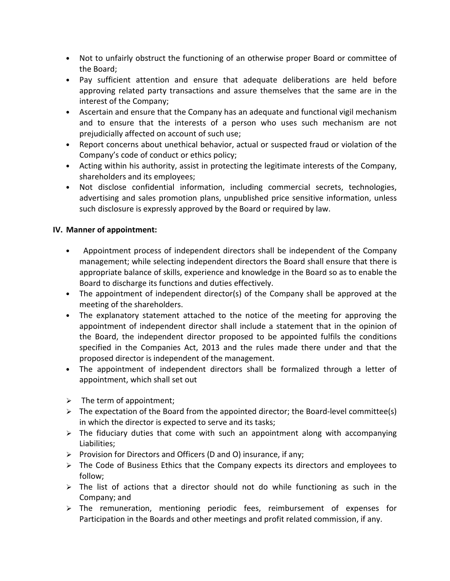- Not to unfairly obstruct the functioning of an otherwise proper Board or committee of the Board;
- Pay sufficient attention and ensure that adequate deliberations are held before approving related party transactions and assure themselves that the same are in the interest of the Company;
- Ascertain and ensure that the Company has an adequate and functional vigil mechanism and to ensure that the interests of a person who uses such mechanism are not prejudicially affected on account of such use;
- Report concerns about unethical behavior, actual or suspected fraud or violation of the Company's code of conduct or ethics policy;
- Acting within his authority, assist in protecting the legitimate interests of the Company, shareholders and its employees;
- Not disclose confidential information, including commercial secrets, technologies, advertising and sales promotion plans, unpublished price sensitive information, unless such disclosure is expressly approved by the Board or required by law.

# **IV. Manner of appointment:**

- Appointment process of independent directors shall be independent of the Company management; while selecting independent directors the Board shall ensure that there is appropriate balance of skills, experience and knowledge in the Board so as to enable the Board to discharge its functions and duties effectively.
- The appointment of independent director(s) of the Company shall be approved at the meeting of the shareholders.
- The explanatory statement attached to the notice of the meeting for approving the appointment of independent director shall include a statement that in the opinion of the Board, the independent director proposed to be appointed fulfils the conditions specified in the Companies Act, 2013 and the rules made there under and that the proposed director is independent of the management.
- The appointment of independent directors shall be formalized through a letter of appointment, which shall set out
- $\triangleright$  The term of appointment;
- $\triangleright$  The expectation of the Board from the appointed director; the Board-level committee(s) in which the director is expected to serve and its tasks;
- $\triangleright$  The fiduciary duties that come with such an appointment along with accompanying Liabilities;
- $\triangleright$  Provision for Directors and Officers (D and O) insurance, if any;
- $\triangleright$  The Code of Business Ethics that the Company expects its directors and employees to follow;
- $\triangleright$  The list of actions that a director should not do while functioning as such in the Company; and
- > The remuneration, mentioning periodic fees, reimbursement of expenses for Participation in the Boards and other meetings and profit related commission, if any.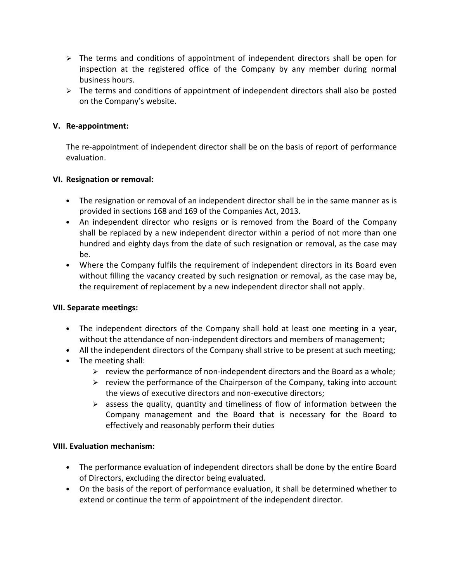- $\triangleright$  The terms and conditions of appointment of independent directors shall be open for inspection at the registered office of the Company by any member during normal business hours.
- $\triangleright$  The terms and conditions of appointment of independent directors shall also be posted on the Company's website.

# **V. Re-appointment:**

The re-appointment of independent director shall be on the basis of report of performance evaluation.

## **VI. Resignation or removal:**

- The resignation or removal of an independent director shall be in the same manner as is provided in sections 168 and 169 of the Companies Act, 2013.
- An independent director who resigns or is removed from the Board of the Company shall be replaced by a new independent director within a period of not more than one hundred and eighty days from the date of such resignation or removal, as the case may be.
- Where the Company fulfils the requirement of independent directors in its Board even without filling the vacancy created by such resignation or removal, as the case may be, the requirement of replacement by a new independent director shall not apply.

#### **VII. Separate meetings:**

- The independent directors of the Company shall hold at least one meeting in a year, without the attendance of non-independent directors and members of management;
- All the independent directors of the Company shall strive to be present at such meeting;
- The meeting shall:
	- $\triangleright$  review the performance of non-independent directors and the Board as a whole;
	- $\triangleright$  review the performance of the Chairperson of the Company, taking into account the views of executive directors and non-executive directors;
	- $\triangleright$  assess the quality, quantity and timeliness of flow of information between the Company management and the Board that is necessary for the Board to effectively and reasonably perform their duties

#### **VIII. Evaluation mechanism:**

- The performance evaluation of independent directors shall be done by the entire Board of Directors, excluding the director being evaluated.
- On the basis of the report of performance evaluation, it shall be determined whether to extend or continue the term of appointment of the independent director.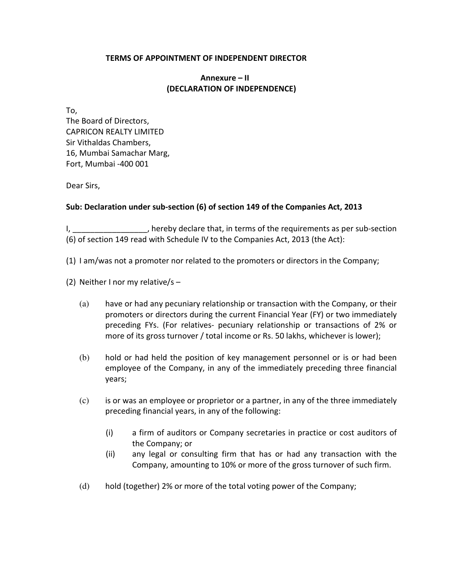### **TERMS OF APPOINTMENT OF INDEPENDENT DIRECTOR**

# **Annexure – II (DECLARATION OF INDEPENDENCE)**

To, The Board of Directors, CAPRICON REALTY LIMITED Sir Vithaldas Chambers, 16, Mumbai Samachar Marg, Fort, Mumbai -400 001

Dear Sirs,

# **Sub: Declaration under sub-section (6) of section 149 of the Companies Act, 2013**

I, \_\_\_\_\_\_\_\_\_\_\_\_\_\_\_\_\_\_, hereby declare that, in terms of the requirements as per sub-section (6) of section 149 read with Schedule IV to the Companies Act, 2013 (the Act):

- (1) I am/was not a promoter nor related to the promoters or directors in the Company;
- (2) Neither I nor my relative/s
	- (a) have or had any pecuniary relationship or transaction with the Company, or their promoters or directors during the current Financial Year (FY) or two immediately preceding FYs. (For relatives- pecuniary relationship or transactions of 2% or more of its gross turnover / total income or Rs. 50 lakhs, whichever is lower);
	- (b) hold or had held the position of key management personnel or is or had been employee of the Company, in any of the immediately preceding three financial years;
	- (c) is or was an employee or proprietor or a partner, in any of the three immediately preceding financial years, in any of the following:
		- (i) a firm of auditors or Company secretaries in practice or cost auditors of the Company; or
		- (ii) any legal or consulting firm that has or had any transaction with the Company, amounting to 10% or more of the gross turnover of such firm.
	- (d) hold (together) 2% or more of the total voting power of the Company;